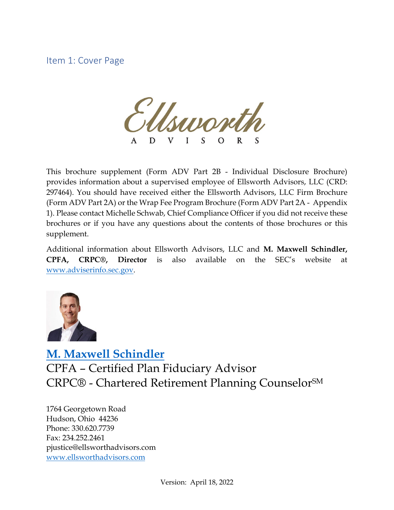Item 1: Cover Page

 $\frac{1}{\sqrt{1-\frac{1}{2}}}$ D L

This brochure supplement (Form ADV Part 2B - Individual Disclosure Brochure) provides information about a supervised employee of Ellsworth Advisors, LLC (CRD: 297464). You should have received either the Ellsworth Advisors, LLC Firm Brochure (Form ADV Part 2A) or the Wrap Fee Program Brochure (Form ADV Part 2A - Appendix 1). Please contact Michelle Schwab, Chief Compliance Officer if you did not receive these brochures or if you have any questions about the contents of those brochures or this supplement.

Additional information about Ellsworth Advisors, LLC and **M. Maxwell Schindler, CPFA, CRPC®, Director** is also available on the SEC's website at [www.adviserinfo.sec.gov.](http://www.adviserinfo.sec.gov/)



**[M. Maxwell Schindler](https://www.ellsworthadvisors.com/leadership/max-schindler/)** CPFA – Certified Plan Fiduciary Advisor CRPC® - Chartered Retirement Planning Counselor<sup>SM</sup>

1764 Georgetown Road Hudson, Ohio 44236 Phone: 330.620.7739 Fax: 234.252.2461 pjustice@ellsworthadvisors.com [www.ellsworthadvisors.com](http://www.ellsworthadvisors.com/)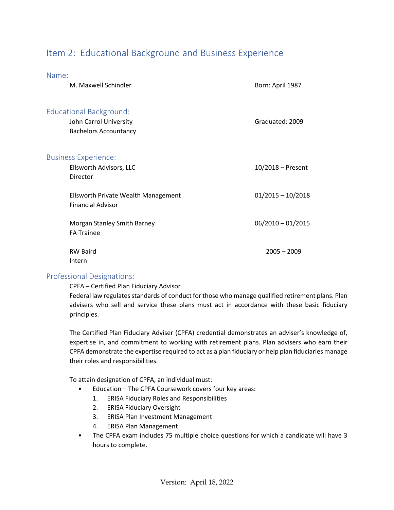# Item 2: Educational Background and Business Experience

| Name:                                                                                    |                     |
|------------------------------------------------------------------------------------------|---------------------|
| M. Maxwell Schindler                                                                     | Born: April 1987    |
| <b>Educational Background:</b><br>John Carrol University<br><b>Bachelors Accountancy</b> | Graduated: 2009     |
| <b>Business Experience:</b><br>Ellsworth Advisors, LLC<br>Director                       | $10/2018$ – Present |
| Ellsworth Private Wealth Management<br><b>Financial Advisor</b>                          | $01/2015 - 10/2018$ |
| Morgan Stanley Smith Barney<br><b>FA Trainee</b>                                         | $06/2010 - 01/2015$ |
| <b>RW Baird</b><br>Intern                                                                | $2005 - 2009$       |

#### Professional Designations:

CPFA – Certified Plan Fiduciary Advisor

Federal law regulates standards of conduct for those who manage qualified retirement plans. Plan advisers who sell and service these plans must act in accordance with these basic fiduciary principles.

The Certified Plan Fiduciary Adviser (CPFA) credential demonstrates an adviser's knowledge of, expertise in, and commitment to working with retirement plans. Plan advisers who earn their CPFA demonstrate the expertise required to act as a plan fiduciary or help plan fiduciaries manage their roles and responsibilities.

To attain designation of CPFA, an individual must:

- Education The CPFA Coursework covers four key areas:
	- 1. ERISA Fiduciary Roles and Responsibilities
	- 2. ERISA Fiduciary Oversight
	- 3. ERISA Plan Investment Management
	- 4. ERISA Plan Management
- The CPFA exam includes 75 multiple choice questions for which a candidate will have 3 hours to complete.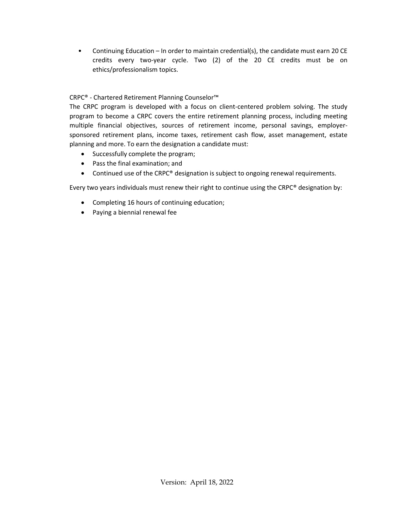• Continuing Education – In order to maintain credential(s), the candidate must earn 20 CE credits every two-year cycle. Two (2) of the 20 CE credits must be on ethics/professionalism topics.

#### CRPC® - Chartered Retirement Planning Counselor™

The CRPC program is developed with a focus on client-centered problem solving. The study program to become a CRPC covers the entire retirement planning process, including meeting multiple financial objectives, sources of retirement income, personal savings, employersponsored retirement plans, income taxes, retirement cash flow, asset management, estate planning and more. To earn the designation a candidate must:

- Successfully complete the program;
- Pass the final examination; and
- Continued use of the CRPC® designation is subject to ongoing renewal requirements.

Every two years individuals must renew their right to continue using the CRPC® designation by:

- Completing 16 hours of continuing education;
- Paying a biennial renewal fee